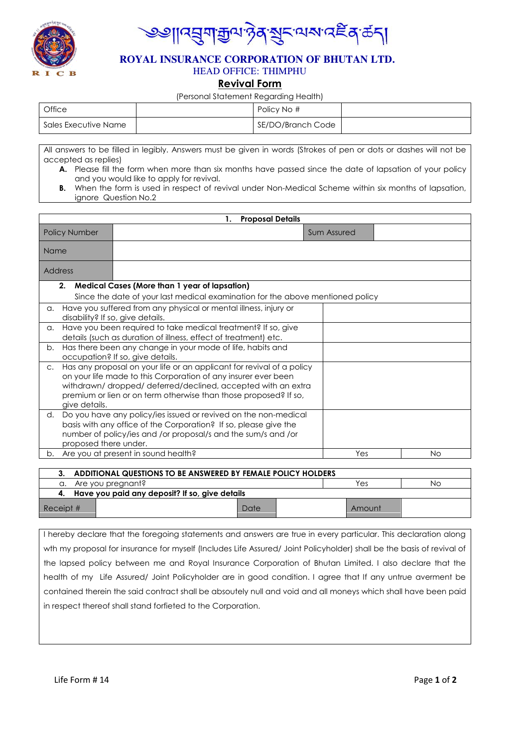

<mark>౹</mark>౹౸<mark>⋽ౢ౻</mark>ౖॿऀ<sub>ऄ</sub>ऄॷॾख़ॴख़

### **ROYAL INSURANCE CORPORATION OF BHUTAN LTD.** HEAD OFFICE: THIMPHU

# **Revival Form**

#### (Personal Statement Regarding Health)

| Office               | Policy No #       |  |
|----------------------|-------------------|--|
| Sales Executive Name | SE/DO/Branch Code |  |

All answers to be filled in legibly. Answers must be given in words (Strokes of pen or dots or dashes will not be accepted as replies)

- **A.** Please fill the form when more than six months have passed since the date of lapsation of your policy and you would like to apply for revival.
- **B.** When the form is used in respect of revival under Non-Medical Scheme within six months of lapsation, ignore Question No.2

|                                                                                                                                                                                                                                                                                                            | <b>Proposal Details</b><br>1.                                                                                                    |                                                                                                                                                                                                      |     |
|------------------------------------------------------------------------------------------------------------------------------------------------------------------------------------------------------------------------------------------------------------------------------------------------------------|----------------------------------------------------------------------------------------------------------------------------------|------------------------------------------------------------------------------------------------------------------------------------------------------------------------------------------------------|-----|
| <b>Policy Number</b>                                                                                                                                                                                                                                                                                       |                                                                                                                                  | Sum Assured                                                                                                                                                                                          |     |
| Name                                                                                                                                                                                                                                                                                                       |                                                                                                                                  |                                                                                                                                                                                                      |     |
|                                                                                                                                                                                                                                                                                                            | Address                                                                                                                          |                                                                                                                                                                                                      |     |
|                                                                                                                                                                                                                                                                                                            | 2.                                                                                                                               | <b>Medical Cases (More than 1 year of lapsation)</b>                                                                                                                                                 |     |
|                                                                                                                                                                                                                                                                                                            |                                                                                                                                  | Since the date of your last medical examination for the above mentioned policy                                                                                                                       |     |
| a.                                                                                                                                                                                                                                                                                                         | Have you suffered from any physical or mental illness, injury or<br>disability? If so, give details.                             |                                                                                                                                                                                                      |     |
| a.                                                                                                                                                                                                                                                                                                         | Have you been required to take medical treatment? If so, give<br>details (such as duration of illness, effect of treatment) etc. |                                                                                                                                                                                                      |     |
| b.                                                                                                                                                                                                                                                                                                         | Has there been any change in your mode of life, habits and<br>occupation? If so, give details.                                   |                                                                                                                                                                                                      |     |
| Has any proposal on your life or an applicant for revival of a policy<br>$C_{\star}$<br>on your life made to this Corporation of any insurer ever been<br>withdrawn/dropped/deferred/declined, accepted with an extra<br>premium or lien or on term otherwise than those proposed? If so,<br>give details. |                                                                                                                                  |                                                                                                                                                                                                      |     |
| d.                                                                                                                                                                                                                                                                                                         | proposed there under.                                                                                                            | Do you have any policy/ies issued or revived on the non-medical<br>basis with any office of the Corporation? If so, please give the<br>number of policy/ies and /or proposal/s and the sum/s and /or |     |
| b.                                                                                                                                                                                                                                                                                                         |                                                                                                                                  | Are you at present in sound health?<br>Yes                                                                                                                                                           | No. |

|                                                   | 3. ADDITIONAL QUESTIONS TO BE ANSWERED BY FEMALE POLICY HOLDERS |           |  |  |        |  |
|---------------------------------------------------|-----------------------------------------------------------------|-----------|--|--|--------|--|
|                                                   | a. Are you pregnant?                                            | Yes<br>Νo |  |  |        |  |
| 4. Have you paid any deposit? If so, give details |                                                                 |           |  |  |        |  |
| Receipt #                                         |                                                                 | Date      |  |  | Amount |  |

I hereby declare that the foregoing statements and answers are true in every particular. This declaration along wth my proposal for insurance for myself (Includes Life Assured/ Joint Policyholder) shall be the basis of revival of the lapsed policy between me and Royal Insurance Corporation of Bhutan Limited. I also declare that the health of my Life Assured/ Joint Policyholder are in good condition. I agree that If any untrue averment be contained therein the said contract shall be absoutely null and void and all moneys which shall have been paid in respect thereof shall stand forfieted to the Corporation.